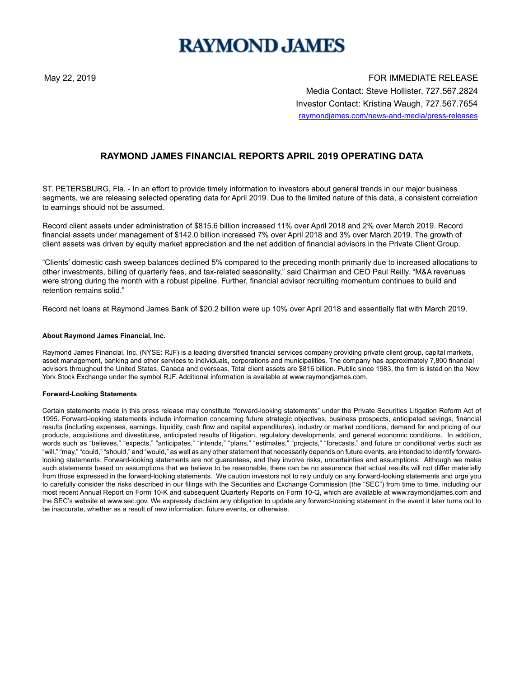# **RAYMOND JAMES**

May 22, 2019 FOR IMMEDIATE RELEASE Media Contact: Steve Hollister, 727.567.2824 Investor Contact: Kristina Waugh, 727.567.7654 raymondjames.com/news-and-media/press-releases

## **RAYMOND JAMES FINANCIAL REPORTS APRIL 2019 OPERATING DATA**

ST. PETERSBURG, Fla. - In an effort to provide timely information to investors about general trends in our major business segments, we are releasing selected operating data for April 2019. Due to the limited nature of this data, a consistent correlation to earnings should not be assumed.

Record client assets under administration of \$815.6 billion increased 11% over April 2018 and 2% over March 2019. Record financial assets under management of \$142.0 billion increased 7% over April 2018 and 3% over March 2019. The growth of client assets was driven by equity market appreciation and the net addition of financial advisors in the Private Client Group.

"Clients' domestic cash sweep balances declined 5% compared to the preceding month primarily due to increased allocations to other investments, billing of quarterly fees, and tax-related seasonality," said Chairman and CEO Paul Reilly. "M&A revenues were strong during the month with a robust pipeline. Further, financial advisor recruiting momentum continues to build and retention remains solid."

Record net loans at Raymond James Bank of \$20.2 billion were up 10% over April 2018 and essentially flat with March 2019.

### **About Raymond James Financial, Inc.**

Raymond James Financial, Inc. (NYSE: RJF) is a leading diversified financial services company providing private client group, capital markets, asset management, banking and other services to individuals, corporations and municipalities. The company has approximately 7,800 financial advisors throughout the United States, Canada and overseas. Total client assets are \$816 billion. Public since 1983, the firm is listed on the New York Stock Exchange under the symbol RJF. Additional information is available at www.raymondjames.com.

#### **Forward-Looking Statements**

Certain statements made in this press release may constitute "forward-looking statements" under the Private Securities Litigation Reform Act of 1995. Forward-looking statements include information concerning future strategic objectives, business prospects, anticipated savings, financial results (including expenses, earnings, liquidity, cash flow and capital expenditures), industry or market conditions, demand for and pricing of our products, acquisitions and divestitures, anticipated results of litigation, regulatory developments, and general economic conditions. In addition, words such as "believes," "expects," "anticipates," "intends," "plans," "estimates," "projects," "forecasts," and future or conditional verbs such as "will," "may," "could," "should," and "would," as well as any other statement that necessarily depends on future events, are intended to identify forwardlooking statements. Forward-looking statements are not guarantees, and they involve risks, uncertainties and assumptions. Although we make such statements based on assumptions that we believe to be reasonable, there can be no assurance that actual results will not differ materially from those expressed in the forward-looking statements. We caution investors not to rely unduly on any forward-looking statements and urge you to carefully consider the risks described in our filings with the Securities and Exchange Commission (the "SEC") from time to time, including our most recent Annual Report on Form 10-K and subsequent Quarterly Reports on Form 10-Q, which are available at www.raymondjames.com and the SEC's website at www.sec.gov. We expressly disclaim any obligation to update any forward-looking statement in the event it later turns out to be inaccurate, whether as a result of new information, future events, or otherwise.